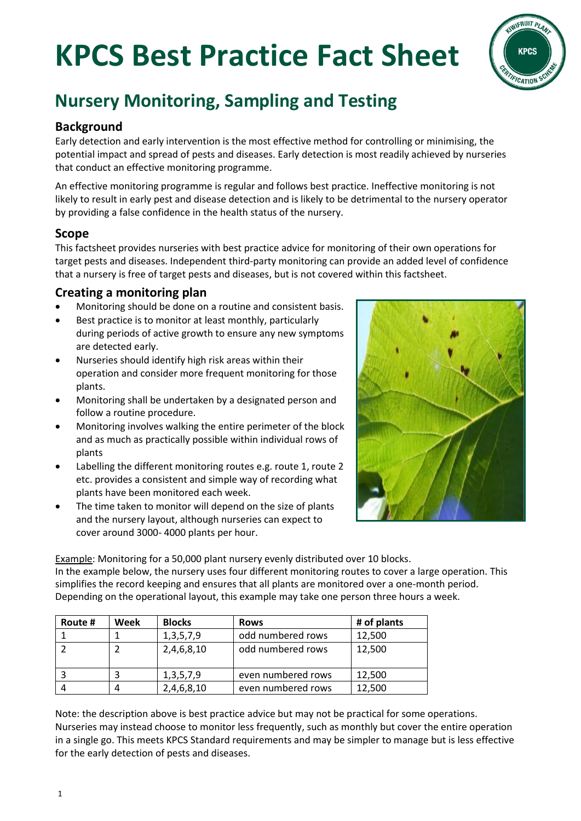# **KPCS Best Practice Fact Sheet**



# **Nursery Monitoring, Sampling and Testing**

# **Background**

Early detection and early intervention is the most effective method for controlling or minimising, the potential impact and spread of pests and diseases. Early detection is most readily achieved by nurseries that conduct an effective monitoring programme.

An effective monitoring programme is regular and follows best practice. Ineffective monitoring is not likely to result in early pest and disease detection and is likely to be detrimental to the nursery operator by providing a false confidence in the health status of the nursery.

# **Scope**

This factsheet provides nurseries with best practice advice for monitoring of their own operations for target pests and diseases. Independent third-party monitoring can provide an added level of confidence that a nursery is free of target pests and diseases, but is not covered within this factsheet.

# **Creating a monitoring plan**

- Monitoring should be done on a routine and consistent basis.
- Best practice is to monitor at least monthly, particularly during periods of active growth to ensure any new symptoms are detected early.
- Nurseries should identify high risk areas within their operation and consider more frequent monitoring for those plants.
- Monitoring shall be undertaken by a designated person and follow a routine procedure.
- Monitoring involves walking the entire perimeter of the block and as much as practically possible within individual rows of plants
- Labelling the different monitoring routes e.g. route 1, route 2 etc. provides a consistent and simple way of recording what plants have been monitored each week.
- The time taken to monitor will depend on the size of plants and the nursery layout, although nurseries can expect to cover around 3000- 4000 plants per hour.



Example: Monitoring for a 50,000 plant nursery evenly distributed over 10 blocks. In the example below, the nursery uses four different monitoring routes to cover a large operation. This simplifies the record keeping and ensures that all plants are monitored over a one-month period. Depending on the operational layout, this example may take one person three hours a week.

| Route # | Week | <b>Blocks</b> | <b>Rows</b>        | # of plants |
|---------|------|---------------|--------------------|-------------|
|         |      | 1, 3, 5, 7, 9 | odd numbered rows  | 12,500      |
|         |      | 2,4,6,8,10    | odd numbered rows  | 12,500      |
|         |      | 1, 3, 5, 7, 9 | even numbered rows | 12,500      |
|         | 4    | 2,4,6,8,10    | even numbered rows | 12,500      |

Note: the description above is best practice advice but may not be practical for some operations. Nurseries may instead choose to monitor less frequently, such as monthly but cover the entire operation in a single go. This meets KPCS Standard requirements and may be simpler to manage but is less effective for the early detection of pests and diseases.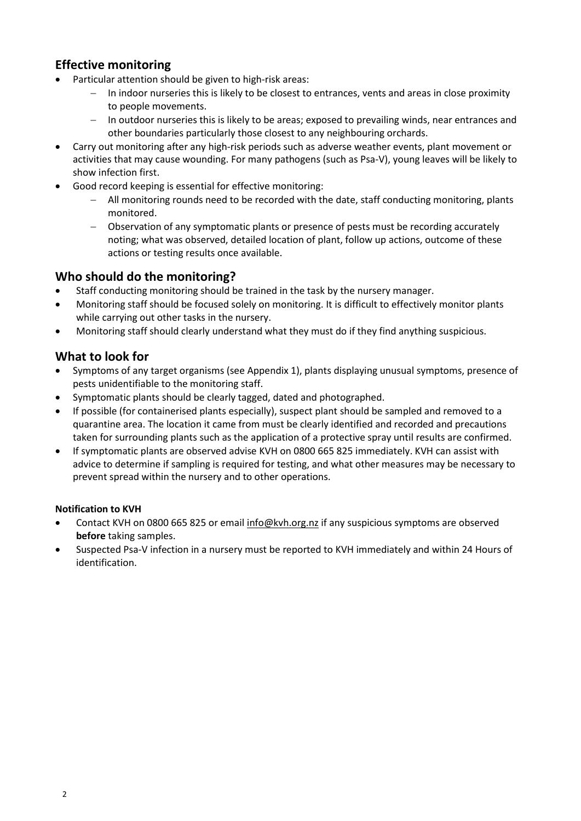# **Effective monitoring**

- Particular attention should be given to high-risk areas:
	- In indoor nurseries this is likely to be closest to entrances, vents and areas in close proximity to people movements.
	- In outdoor nurseries this is likely to be areas; exposed to prevailing winds, near entrances and other boundaries particularly those closest to any neighbouring orchards.
- Carry out monitoring after any high-risk periods such as adverse weather events, plant movement or activities that may cause wounding. For many pathogens (such as Psa-V), young leaves will be likely to show infection first.
- Good record keeping is essential for effective monitoring:
	- − All monitoring rounds need to be recorded with the date, staff conducting monitoring, plants monitored.
	- − Observation of any symptomatic plants or presence of pests must be recording accurately noting; what was observed, detailed location of plant, follow up actions, outcome of these actions or testing results once available.

### **Who should do the monitoring?**

- Staff conducting monitoring should be trained in the task by the nursery manager.
- Monitoring staff should be focused solely on monitoring. It is difficult to effectively monitor plants while carrying out other tasks in the nursery.
- Monitoring staff should clearly understand what they must do if they find anything suspicious.

# **What to look for**

- Symptoms of any target organisms (see Appendix 1), plants displaying unusual symptoms, presence of pests unidentifiable to the monitoring staff.
- Symptomatic plants should be clearly tagged, dated and photographed.
- If possible (for containerised plants especially), suspect plant should be sampled and removed to a quarantine area. The location it came from must be clearly identified and recorded and precautions taken for surrounding plants such as the application of a protective spray until results are confirmed.
- If symptomatic plants are observed advise KVH on 0800 665 825 immediately. KVH can assist with advice to determine if sampling is required for testing, and what other measures may be necessary to prevent spread within the nursery and to other operations.

### **Notification to KVH**

- Contact KVH on 0800 665 825 or email [info@kvh.org.nz](mailto:info@kvh.org.nz) if any suspicious symptoms are observed **before** taking samples.
- Suspected Psa-V infection in a nursery must be reported to KVH immediately and within 24 Hours of identification.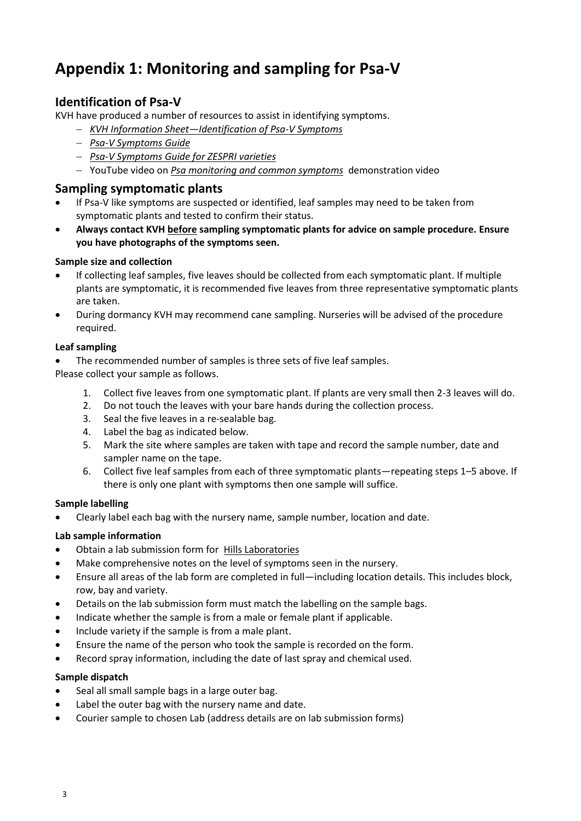# **Appendix 1: Monitoring and sampling for Psa-V**

# **Identification of Psa-V**

KVH have produced a number of resources to assist in identifying symptoms.

- − *KVH Information Sheet—[Identification of Psa-V Symptoms](http://www.kvh.org.nz/vdb/document/168)*
- − *[Psa-V Symptoms Guide](http://www.kvh.org.nz/vdb/document/870)*
- − *[Psa-V Symptoms Guide for ZESPRI varieties](http://www.kvh.org.nz/vdb/document/91249)*
- − YouTube video on *[Psa monitoring and common symptoms](http://www.youtube.com/user/KVHNZ?feature=mhee#p/a)* demonstration video

### **Sampling symptomatic plants**

- If Psa-V like symptoms are suspected or identified, leaf samples may need to be taken from symptomatic plants and tested to confirm their status.
- **Always contact KVH before sampling symptomatic plants for advice on sample procedure. Ensure you have photographs of the symptoms seen.**

### **Sample size and collection**

- If collecting leaf samples, five leaves should be collected from each symptomatic plant. If multiple plants are symptomatic, it is recommended five leaves from three representative symptomatic plants are taken.
- During dormancy KVH may recommend cane sampling. Nurseries will be advised of the procedure required.

### **Leaf sampling**

• The recommended number of samples is three sets of five leaf samples.

Please collect your sample as follows.

- 1. Collect five leaves from one symptomatic plant. If plants are very small then 2-3 leaves will do.
- 2. Do not touch the leaves with your bare hands during the collection process.
- 3. Seal the five leaves in a re-sealable bag.
- 4. Label the bag as indicated below.
- 5. Mark the site where samples are taken with tape and record the sample number, date and sampler name on the tape.
- 6. Collect five leaf samples from each of three symptomatic plants—repeating steps 1–5 above. If there is only one plant with symptoms then one sample will suffice.

#### **Sample labelling**

• Clearly label each bag with the nursery name, sample number, location and date.

### **Lab sample information**

- Obtain a lab submission form for [Hills Laboratories](https://www.hill-laboratories.com/assets/Documents/Analysis-Request-Forms/35726v6-Analysis-Request-Form-Nursery-Certification-Psa-F1R2.pdf)
- Make comprehensive notes on the level of symptoms seen in the nursery.
- Ensure all areas of the lab form are completed in full—including location details. This includes block, row, bay and variety.
- Details on the lab submission form must match the labelling on the sample bags.
- Indicate whether the sample is from a male or female plant if applicable.
- Include variety if the sample is from a male plant.
- Ensure the name of the person who took the sample is recorded on the form.
- Record spray information, including the date of last spray and chemical used.

#### **Sample dispatch**

- Seal all small sample bags in a large outer bag.
- Label the outer bag with the nursery name and date.
- Courier sample to chosen Lab (address details are on lab submission forms)